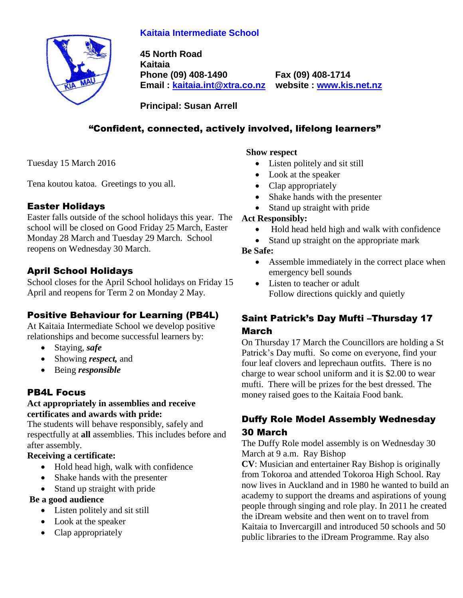# **Kaitaia Intermediate School**



**45 North Road Kaitaia Phone (09) 408-1490 Fax (09) 408-1714 Email : [kaitaia.int@xtra.co.nz](mailto:kaitaia.int@xtra.co.nz) website : [www.kis.net.nz](file:///C:/Documents%20and%20Settings/Principal/Desktop/Kelvin%201/Letterhead%20-%20Kelvin/www.kis.net.nz)**

**Principal: Susan Arrell**

# "Confident, connected, actively involved, lifelong learners"

Tuesday 15 March 2016

Tena koutou katoa. Greetings to you all.

## Easter Holidays

Easter falls outside of the school holidays this year. The school will be closed on Good Friday 25 March, Easter Monday 28 March and Tuesday 29 March. School reopens on Wednesday 30 March.

# April School Holidays

School closes for the April School holidays on Friday 15 April and reopens for Term 2 on Monday 2 May.

## Positive Behaviour for Learning (PB4L)

At Kaitaia Intermediate School we develop positive relationships and become successful learners by:

- Staying, *safe*
- Showing *respect*, and
- Being *responsible*

# PB4L Focus

#### **Act appropriately in assemblies and receive certificates and awards with pride:**

The students will behave responsibly, safely and respectfully at **all** assemblies. This includes before and after assembly.

#### **Receiving a certificate:**

- Hold head high, walk with confidence
- Shake hands with the presenter
- Stand up straight with pride

#### **Be a good audience**

- Listen politely and sit still
- Look at the speaker
- Clap appropriately

#### **Show respect**

- Listen politely and sit still
- Look at the speaker
- Clap appropriately
- Shake hands with the presenter
- Stand up straight with pride

#### **Act Responsibly:**

- Hold head held high and walk with confidence
- Stand up straight on the appropriate mark

#### **Be Safe:**

- Assemble immediately in the correct place when emergency bell sounds
- Listen to teacher or adult Follow directions quickly and quietly

# Saint Patrick's Day Mufti –Thursday 17 March

On Thursday 17 March the Councillors are holding a St Patrick's Day mufti. So come on everyone, find your four leaf clovers and leprechaun outfits. There is no charge to wear school uniform and it is \$2.00 to wear mufti. There will be prizes for the best dressed. The money raised goes to the Kaitaia Food bank.

# Duffy Role Model Assembly Wednesday 30 March

The Duffy Role model assembly is on Wednesday 30 March at 9 a.m. Ray Bishop

**CV**: Musician and entertainer Ray Bishop is originally from Tokoroa and attended Tokoroa High School. Ray now lives in Auckland and in 1980 he wanted to build an academy to support the dreams and aspirations of young people through singing and role play. In 2011 he created the iDream website and then went on to travel from Kaitaia to Invercargill and introduced 50 schools and 50 public libraries to the iDream Programme. Ray also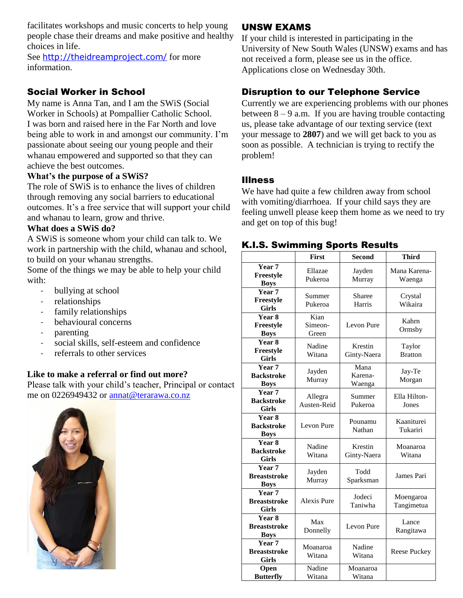facilitates workshops and music concerts to help young people chase their dreams and make positive and healthy choices in life.

See <http://theidreamproject.com/> for more information.

#### Social Worker in School

My name is Anna Tan, and I am the SWiS (Social Worker in Schools) at Pompallier Catholic School. I was born and raised here in the Far North and love being able to work in and amongst our community. I'm passionate about seeing our young people and their whanau empowered and supported so that they can achieve the best outcomes.

#### **What's the purpose of a SWiS?**

The role of SWiS is to enhance the lives of children through removing any social barriers to educational outcomes. It's a free service that will support your child and whanau to learn, grow and thrive.

#### **What does a SWiS do?**

A SWiS is someone whom your child can talk to. We work in partnership with the child, whanau and school, to build on your whanau strengths.

Some of the things we may be able to help your child with:

- bullying at school
- relationships
- family relationships
- behavioural concerns
- parenting
- social skills, self-esteem and confidence
- referrals to other services

#### **Like to make a referral or find out more?**

Please talk with your child's teacher, Principal or contact me on 0226949432 or [annat@terarawa.co.nz](mailto:annat@terarawa.co.nz)



#### UNSW EXAMS

If your child is interested in participating in the University of New South Wales (UNSW) exams and has not received a form, please see us in the office. Applications close on Wednesday 30th.

#### Disruption to our Telephone Service

Currently we are experiencing problems with our phones between  $8 - 9$  a.m. If you are having trouble contacting us, please take advantage of our texting service (text your message to **2807**) and we will get back to you as soon as possible. A technician is trying to rectify the problem!

#### Illness

We have had quite a few children away from school with vomiting/diarrhoea. If your child says they are feeling unwell please keep them home as we need to try and get on top of this bug!

#### K.I.S. Swimming Sports Results

|                                                               | <b>First</b>             | <b>Second</b>             | <b>Third</b>             |
|---------------------------------------------------------------|--------------------------|---------------------------|--------------------------|
| Year <sub>7</sub><br>Freestyle<br><b>Boys</b>                 | Ellazae<br>Pukeroa       | Jayden<br>Murray          | Mana Karena-<br>Waenga   |
| Year <sub>7</sub><br>Freestyle<br><b>Girls</b>                | Summer<br>Pukeroa        | Sharee<br>Harris          | Crystal<br>Wikaira       |
| Year 8<br>Freestyle<br><b>Boys</b>                            | Kian<br>Simeon-<br>Green | Levon Pure                | Kahrn<br>Ormsby          |
| Year 8<br>Freestyle<br><b>Girls</b>                           | Nadine<br>Witana         | Krestin<br>Ginty-Naera    | Taylor<br><b>Bratton</b> |
| Year <sub>7</sub><br><b>Backstroke</b><br><b>Boys</b>         | Jayden<br>Murray         | Mana<br>Karena-<br>Waenga | Jay-Te<br>Morgan         |
| Year 7<br><b>Backstroke</b><br><b>Girls</b>                   | Allegra<br>Austen-Reid   | Summer<br>Pukeroa         | Ella Hilton-<br>Jones    |
| Year 8<br><b>Backstroke</b><br><b>Boys</b>                    | Levon Pure               | Pounamu<br>Nathan         | Kaaniturei<br>Tukariri   |
| Year 8<br><b>Backstroke</b><br>Girls                          | Nadine<br>Witana         | Krestin<br>Ginty-Naera    | Moanaroa<br>Witana       |
| Year <sub>7</sub><br><b>Breaststroke</b><br><b>Boys</b>       | Jayden<br>Murray         | Todd<br>Sparksman         | James Pari               |
| $\overline{\mathbf{Y}}$ ear 7<br><b>Breaststroke</b><br>Girls | <b>Alexis Pure</b>       | Jodeci<br>Taniwha         | Moengaroa<br>Tangimetua  |
| Year 8<br><b>Breaststroke</b><br><b>Boys</b>                  | Max<br>Donnelly          | Levon Pure                | Lance<br>Rangitawa       |
| Year 7<br><b>Breaststroke</b><br><b>Girls</b>                 | Moanaroa<br>Witana       | Nadine<br>Witana          | Reese Puckey             |
| Open<br><b>Butterfly</b>                                      | Nadine<br>Witana         | Moanaroa<br>Witana        |                          |